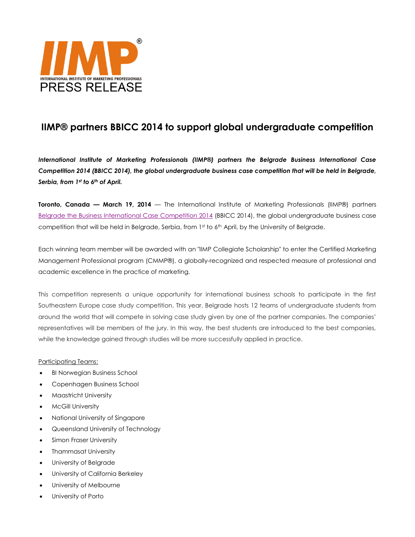

# **IIMP® partners BBICC 2014 to support global undergraduate competition**

*International Institute of Marketing Professionals (IIMP®) partners the Belgrade Business International Case Competition 2014 (BBICC 2014), the global undergraduate business case competition that will be held in Belgrade, Serbia, from 1st to 6th of April.*

**Toronto, Canada — March 19, 2014** — The International Institute of Marketing Professionals (IIMP®) partners [Belgrade the Business International Case Competition 2014](http://www.bbicc.org/news/international-institute-of-marketing-professionals) (BBICC 2014), the global undergraduate business case competition that will be held in Belgrade, Serbia, from 1st to 6th April, by the University of Belgrade.

Each winning team member will be awarded with an "IIMP Collegiate Scholarship" to enter the Certified Marketing Management Professional program (CMMP®), a globally-recognized and respected measure of professional and academic excellence in the practice of marketing.

This competition represents a unique opportunity for international business schools to participate in the first Southeastern Europe case study competition. This year, Belgrade hosts 12 teams of undergraduate students from around the world that will compete in solving case study given by one of the partner companies. The companies' representatives will be members of the jury. In this way, the best students are introduced to the best companies, while the knowledge gained through studies will be more successfully applied in practice.

### Participating Teams:

- BI Norwegian Business School
- Copenhagen Business School
- Maastricht University
- McGill University
- National University of Singapore
- Queensland University of Technology
- Simon Fraser University
- Thammasat University
- University of Belgrade
- University of California Berkeley
- University of Melbourne
- University of Porto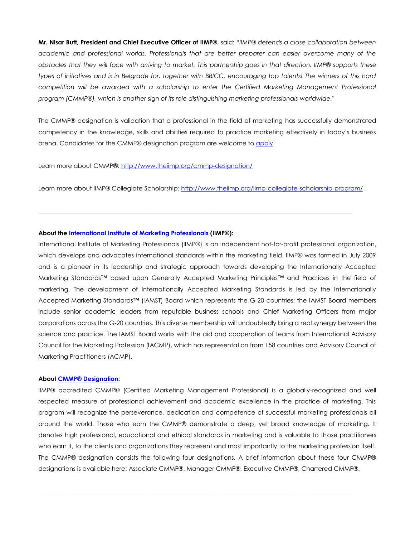**Mr. Nisar Butt, President and Chief Executive Officer of IIMP®**, said: *"IIMP® defends a close collaboration between academic and professional worlds. Professionals that are better preparer can easier overcome many of the obstacles that they will face with arriving to market. This partnership goes in that direction. IIMP® supports these types of initiatives and is in Belgrade for, together with BBICC, encouraging top talents! The winners of this hard competition will be awarded with a scholarship to enter the Certified Marketing Management Professional program (CMMP®), which is another sign of its role distinguishing marketing professionals worldwide."*

The CMMP® designation is validation that a professional in the field of marketing has successfully demonstrated competency in the knowledge, skills and abilities required to practice marketing effectively in today's business arena. Candidates for the CMMP® designation program are welcome to [apply.](http://www.theiimp.org/apply-for-designation/)

Learn more about CMMP®: <http://www.theiimp.org/cmmp-designation/>

Learn more about IIMP® Collegiate Scholarship:<http://www.theiimp.org/iimp-collegiate-scholarship-program/>

#### **About the [International Institute of Marketing Professionals](http://www.theiimp.org/) (IIMP®):**

International Institute of Marketing Professionals (IIMP®) is an independent not-for-profit professional organization, which develops and advocates international standards within the marketing field. IIMP® was formed in July 2009 and is a pioneer in its leadership and strategic approach towards developing the Internationally Accepted Marketing Standards™ based upon Generally Accepted Marketing Principles™ and Practices in the field of marketing. The development of Internationally Accepted Marketing Standards is led by the Internationally Accepted Marketing Standards™ (IAMST) Board which represents the G-20 countries; the IAMST Board members include senior academic leaders from reputable business schools and Chief Marketing Officers from major corporations across the G-20 countries. This diverse membership will undoubtedly bring a real synergy between the science and practice. The IAMST Board works with the aid and cooperation of teams from International Advisory Council for the Marketing Profession (IACMP), which has representation from 158 countries and Advisory Council of Marketing Practitioners (ACMP).

#### **Abou[t CMMP® Designation:](http://www.cmmp.ca/)**

IIMP® accredited CMMP® (Certified Marketing Management Professional) is a globally-recognized and well respected measure of professional achievement and academic excellence in the practice of marketing. This program will recognize the perseverance, dedication and competence of successful marketing professionals all around the world. Those who earn the CMMP® demonstrate a deep, yet broad knowledge of marketing. It denotes high professional, educational and ethical standards in marketing and is valuable to those practitioners who earn it, to the clients and organizations they represent and most importantly to the marketing profession itself. The CMMP® designation consists the following four designations. A brief information about these four CMMP® designations is available here: Associate CMMP®, Manager CMMP®, Executive CMMP®, Chartered CMMP®.